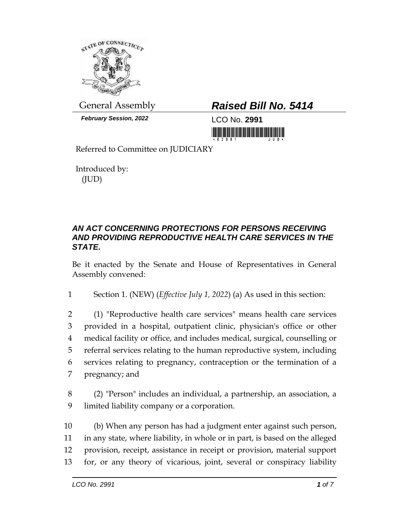

*February Session, 2022* LCO No. **2991**

## General Assembly *Raised Bill No. 5414*

Referred to Committee on JUDICIARY

Introduced by: (JUD)

## *AN ACT CONCERNING PROTECTIONS FOR PERSONS RECEIVING AND PROVIDING REPRODUCTIVE HEALTH CARE SERVICES IN THE STATE.*

Be it enacted by the Senate and House of Representatives in General Assembly convened:

1 Section 1. (NEW) (*Effective July 1, 2022*) (a) As used in this section:

 (1) "Reproductive health care services" means health care services provided in a hospital, outpatient clinic, physician's office or other medical facility or office, and includes medical, surgical, counselling or referral services relating to the human reproductive system, including services relating to pregnancy, contraception or the termination of a pregnancy; and

8 (2) "Person" includes an individual, a partnership, an association, a 9 limited liability company or a corporation.

 (b) When any person has had a judgment enter against such person, in any state, where liability, in whole or in part, is based on the alleged provision, receipt, assistance in receipt or provision, material support for, or any theory of vicarious, joint, several or conspiracy liability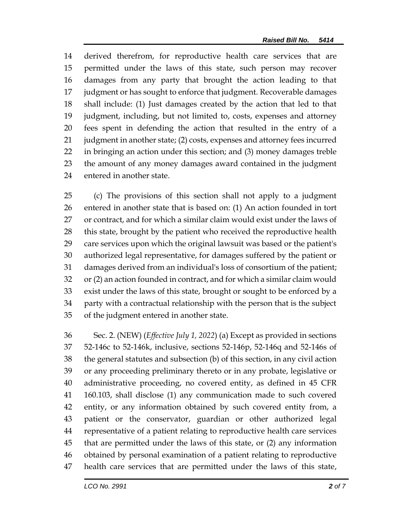derived therefrom, for reproductive health care services that are permitted under the laws of this state, such person may recover damages from any party that brought the action leading to that judgment or has sought to enforce that judgment. Recoverable damages shall include: (1) Just damages created by the action that led to that judgment, including, but not limited to, costs, expenses and attorney fees spent in defending the action that resulted in the entry of a judgment in another state; (2) costs, expenses and attorney fees incurred in bringing an action under this section; and (3) money damages treble the amount of any money damages award contained in the judgment entered in another state.

 (c) The provisions of this section shall not apply to a judgment entered in another state that is based on: (1) An action founded in tort or contract, and for which a similar claim would exist under the laws of 28 this state, brought by the patient who received the reproductive health care services upon which the original lawsuit was based or the patient's authorized legal representative, for damages suffered by the patient or damages derived from an individual's loss of consortium of the patient; or (2) an action founded in contract, and for which a similar claim would exist under the laws of this state, brought or sought to be enforced by a party with a contractual relationship with the person that is the subject of the judgment entered in another state.

 Sec. 2. (NEW) (*Effective July 1, 2022*) (a) Except as provided in sections 52-146c to 52-146k, inclusive, sections 52-146p, 52-146q and 52-146s of the general statutes and subsection (b) of this section, in any civil action or any proceeding preliminary thereto or in any probate, legislative or administrative proceeding, no covered entity, as defined in 45 CFR 160.103, shall disclose (1) any communication made to such covered entity, or any information obtained by such covered entity from, a patient or the conservator, guardian or other authorized legal representative of a patient relating to reproductive health care services that are permitted under the laws of this state, or (2) any information obtained by personal examination of a patient relating to reproductive health care services that are permitted under the laws of this state,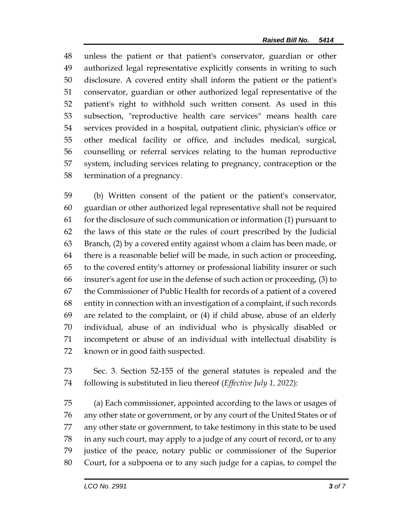unless the patient or that patient's conservator, guardian or other authorized legal representative explicitly consents in writing to such disclosure. A covered entity shall inform the patient or the patient's conservator, guardian or other authorized legal representative of the patient's right to withhold such written consent. As used in this subsection, "reproductive health care services" means health care services provided in a hospital, outpatient clinic, physician's office or other medical facility or office, and includes medical, surgical, counselling or referral services relating to the human reproductive system, including services relating to pregnancy, contraception or the termination of a pregnancy.

 (b) Written consent of the patient or the patient's conservator, guardian or other authorized legal representative shall not be required 61 for the disclosure of such communication or information  $(1)$  pursuant to the laws of this state or the rules of court prescribed by the Judicial Branch, (2) by a covered entity against whom a claim has been made, or there is a reasonable belief will be made, in such action or proceeding, to the covered entity's attorney or professional liability insurer or such insurer's agent for use in the defense of such action or proceeding, (3) to the Commissioner of Public Health for records of a patient of a covered entity in connection with an investigation of a complaint, if such records are related to the complaint, or (4) if child abuse, abuse of an elderly individual, abuse of an individual who is physically disabled or incompetent or abuse of an individual with intellectual disability is known or in good faith suspected.

 Sec. 3. Section 52-155 of the general statutes is repealed and the following is substituted in lieu thereof (*Effective July 1, 2022*):

 (a) Each commissioner, appointed according to the laws or usages of any other state or government, or by any court of the United States or of any other state or government, to take testimony in this state to be used in any such court, may apply to a judge of any court of record, or to any justice of the peace, notary public or commissioner of the Superior Court, for a subpoena or to any such judge for a capias, to compel the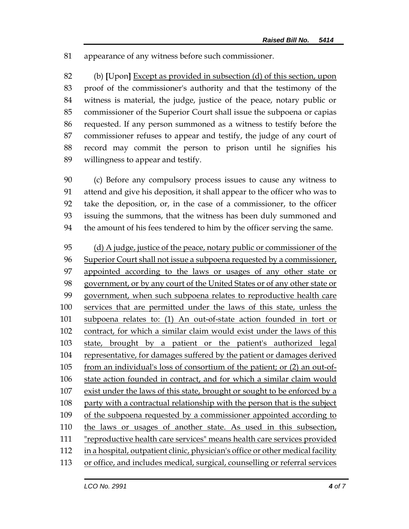appearance of any witness before such commissioner.

 (b) **[**Upon**]** Except as provided in subsection (d) of this section, upon proof of the commissioner's authority and that the testimony of the witness is material, the judge, justice of the peace, notary public or commissioner of the Superior Court shall issue the subpoena or capias requested. If any person summoned as a witness to testify before the commissioner refuses to appear and testify, the judge of any court of record may commit the person to prison until he signifies his willingness to appear and testify.

 (c) Before any compulsory process issues to cause any witness to attend and give his deposition, it shall appear to the officer who was to take the deposition, or, in the case of a commissioner, to the officer issuing the summons, that the witness has been duly summoned and the amount of his fees tendered to him by the officer serving the same.

 (d) A judge, justice of the peace, notary public or commissioner of the Superior Court shall not issue a subpoena requested by a commissioner, appointed according to the laws or usages of any other state or government, or by any court of the United States or of any other state or government, when such subpoena relates to reproductive health care services that are permitted under the laws of this state, unless the subpoena relates to: (1) An out-of-state action founded in tort or 102 contract, for which a similar claim would exist under the laws of this state, brought by a patient or the patient's authorized legal representative, for damages suffered by the patient or damages derived from an individual's loss of consortium of the patient; or (2) an out-of- state action founded in contract, and for which a similar claim would exist under the laws of this state, brought or sought to be enforced by a party with a contractual relationship with the person that is the subject of the subpoena requested by a commissioner appointed according to 110 the laws or usages of another state. As used in this subsection, "reproductive health care services" means health care services provided in a hospital, outpatient clinic, physician's office or other medical facility or office, and includes medical, surgical, counselling or referral services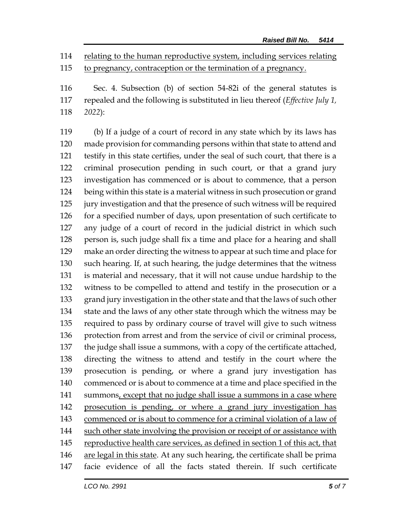relating to the human reproductive system, including services relating

to pregnancy, contraception or the termination of a pregnancy.

 Sec. 4. Subsection (b) of section 54-82i of the general statutes is repealed and the following is substituted in lieu thereof (*Effective July 1, 2022*):

 (b) If a judge of a court of record in any state which by its laws has made provision for commanding persons within that state to attend and testify in this state certifies, under the seal of such court, that there is a criminal prosecution pending in such court, or that a grand jury investigation has commenced or is about to commence, that a person being within this state is a material witness in such prosecution or grand jury investigation and that the presence of such witness will be required for a specified number of days, upon presentation of such certificate to any judge of a court of record in the judicial district in which such 128 person is, such judge shall fix a time and place for a hearing and shall make an order directing the witness to appear at such time and place for such hearing. If, at such hearing, the judge determines that the witness is material and necessary, that it will not cause undue hardship to the witness to be compelled to attend and testify in the prosecution or a grand jury investigation in the other state and that the laws of such other state and the laws of any other state through which the witness may be required to pass by ordinary course of travel will give to such witness protection from arrest and from the service of civil or criminal process, the judge shall issue a summons, with a copy of the certificate attached, directing the witness to attend and testify in the court where the prosecution is pending, or where a grand jury investigation has commenced or is about to commence at a time and place specified in the 141 summons, except that no judge shall issue a summons in a case where prosecution is pending, or where a grand jury investigation has commenced or is about to commence for a criminal violation of a law of such other state involving the provision or receipt of or assistance with reproductive health care services, as defined in section 1 of this act, that are legal in this state. At any such hearing, the certificate shall be prima facie evidence of all the facts stated therein. If such certificate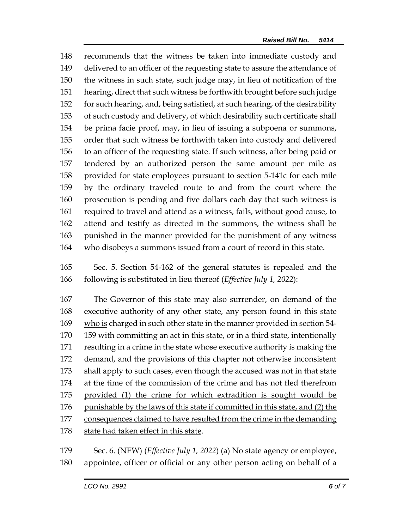recommends that the witness be taken into immediate custody and delivered to an officer of the requesting state to assure the attendance of the witness in such state, such judge may, in lieu of notification of the hearing, direct that such witness be forthwith brought before such judge for such hearing, and, being satisfied, at such hearing, of the desirability of such custody and delivery, of which desirability such certificate shall be prima facie proof, may, in lieu of issuing a subpoena or summons, order that such witness be forthwith taken into custody and delivered to an officer of the requesting state. If such witness, after being paid or tendered by an authorized person the same amount per mile as provided for state employees pursuant to section 5-141c for each mile by the ordinary traveled route to and from the court where the prosecution is pending and five dollars each day that such witness is required to travel and attend as a witness, fails, without good cause, to attend and testify as directed in the summons, the witness shall be punished in the manner provided for the punishment of any witness who disobeys a summons issued from a court of record in this state.

 Sec. 5. Section 54-162 of the general statutes is repealed and the following is substituted in lieu thereof (*Effective July 1, 2022*):

 The Governor of this state may also surrender, on demand of the 168 executive authority of any other state, any person <u>found</u> in this state who is charged in such other state in the manner provided in section 54- 159 with committing an act in this state, or in a third state, intentionally resulting in a crime in the state whose executive authority is making the demand, and the provisions of this chapter not otherwise inconsistent shall apply to such cases, even though the accused was not in that state at the time of the commission of the crime and has not fled therefrom provided (1) the crime for which extradition is sought would be 176 punishable by the laws of this state if committed in this state, and (2) the consequences claimed to have resulted from the crime in the demanding state had taken effect in this state.

 Sec. 6. (NEW) (*Effective July 1, 2022*) (a) No state agency or employee, appointee, officer or official or any other person acting on behalf of a